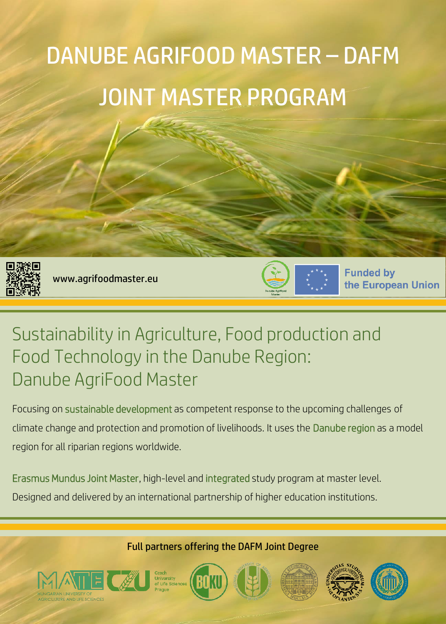# DANUBE AGRIFOOD MASTER – DAFM JOINT MASTER PROGRAM



www.agrifoodmaster.eu



**Funded by** the European Union

## Sustainability in Agriculture, Food production and Food Technology in the Danube Region: Danube AgriFood Master

Focusing on sustainable development as competent response to the upcoming challenges of climate change and protection and promotion of livelihoods. It uses the Danube region as a model region for all riparian regions worldwide.

Erasmus Mundus Joint Master, high-level and integrated study program at master level.

Designed and delivered by an international partnership of higher education institutions.